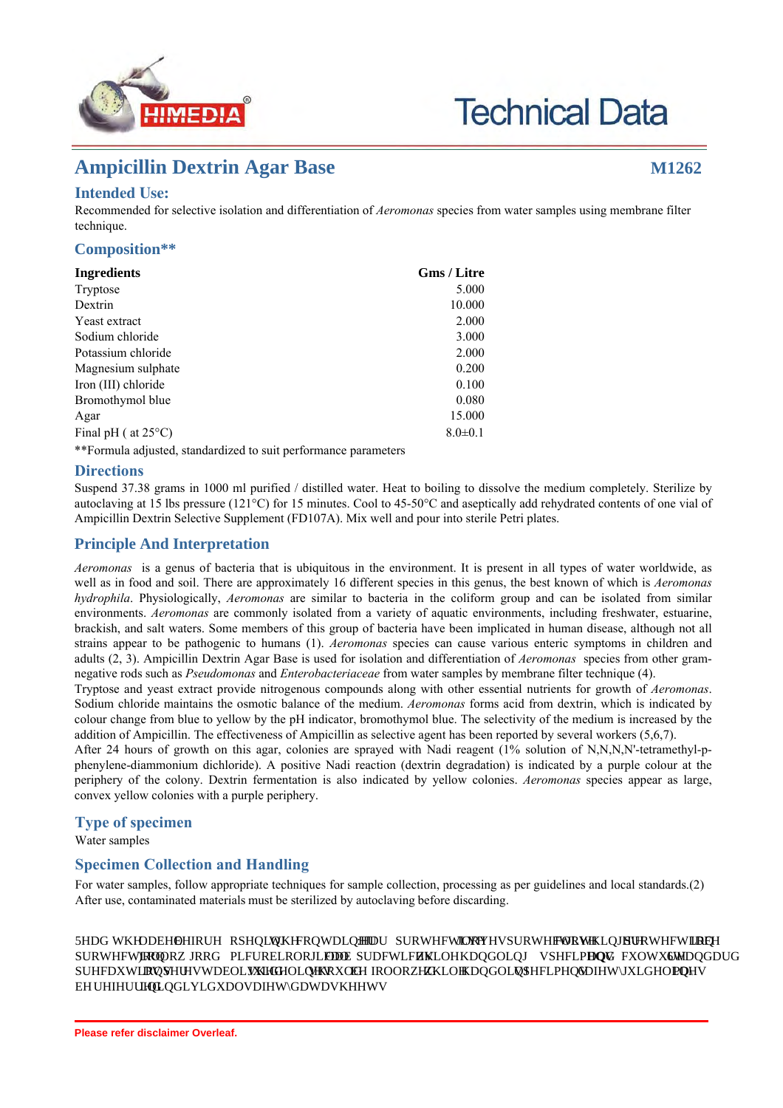

# **Technical Data**

# **Ampicillin Dextrin Agar Base M1262**

# **Intended Use:**

Recommended for selective isolation and differentiation of *Aeromonas* species from water samples using membrane filter technique.

# **Composition\*\***

| Ingredients                                                     | <b>Gms</b> / Litre |
|-----------------------------------------------------------------|--------------------|
| Tryptose                                                        | 5.000              |
| Dextrin                                                         | 10.000             |
| Yeast extract                                                   | 2.000              |
| Sodium chloride                                                 | 3.000              |
| Potassium chloride                                              | 2.000              |
| Magnesium sulphate                                              | 0.200              |
| Iron (III) chloride                                             | 0.100              |
| Bromothymol blue                                                | 0.080              |
| Agar                                                            | 15.000             |
| Final pH ( $at 25^{\circ}$ C)                                   | $8.0 \pm 0.1$      |
| **Formula adjusted, standardized to suit performance parameters |                    |

**Directions**

Suspend 37.38 grams in 1000 ml purified / distilled water. Heat to boiling to dissolve the medium completely. Sterilize by autoclaving at 15 lbs pressure (121°C) for 15 minutes. Cool to 45-50°C and aseptically add rehydrated contents of one vial of Ampicillin Dextrin Selective Supplement (FD107A). Mix well and pour into sterile Petri plates.

# **Principle And Interpretation**

*Aeromonas* is a genus of bacteria that is ubiquitous in the environment. It is present in all types of water worldwide, as well as in food and soil. There are approximately 16 different species in this genus, the best known of which is *Aeromonas hydrophila*. Physiologically, *Aeromonas* are similar to bacteria in the coliform group and can be isolated from similar environments. *Aeromonas* are commonly isolated from a variety of aquatic environments, including freshwater, estuarine, brackish, and salt waters. Some members of this group of bacteria have been implicated in human disease, although not all strains appear to be pathogenic to humans (1). *Aeromonas* species can cause various enteric symptoms in children and adults (2, 3). Ampicillin Dextrin Agar Base is used for isolation and differentiation of *Aeromonas* species from other gramnegative rods such as *Pseudomonas* and *Enterobacteriaceae* from water samples by membrane filter technique (4).

Tryptose and yeast extract provide nitrogenous compounds along with other essential nutrients for growth of *Aeromonas*. Sodium chloride maintains the osmotic balance of the medium. *Aeromonas* forms acid from dextrin, which is indicated by colour change from blue to yellow by the pH indicator, bromothymol blue. The selectivity of the medium is increased by the addition of Ampicillin. The effectiveness of Ampicillin as selective agent has been reported by several workers (5,6,7).

After 24 hours of growth on this agar, colonies are sprayed with Nadi reagent (1% solution of N,N,N,N'-tetramethyl-pphenylene-diammonium dichloride). A positive Nadi reaction (dextrin degradation) is indicated by a purple colour at the periphery of the colony. Dextrin fermentation is also indicated by yellow colonies. *Aeromonas* species appear as large, convex yellow colonies with a purple periphery.

# **Type of specimen**

Water samples

# **Specimen Collection and Handling:**

For water samples, follow appropriate techniques for sample collection, processing as per guidelines and local standards.(2) After use, contaminated materials must be sterilized by autoclaving before discarding.

# **Warning and Precautions :**

Read the la el efore opening the container ear protective gloves/protective clothing/eye protection/ face protection Follow good micro iological la practices while handling specimens and culture Standard **precautions as per esta lished guidelines should e followed while handling specimens Safety guidelines may**  $e$  referred in individual safety data sheets